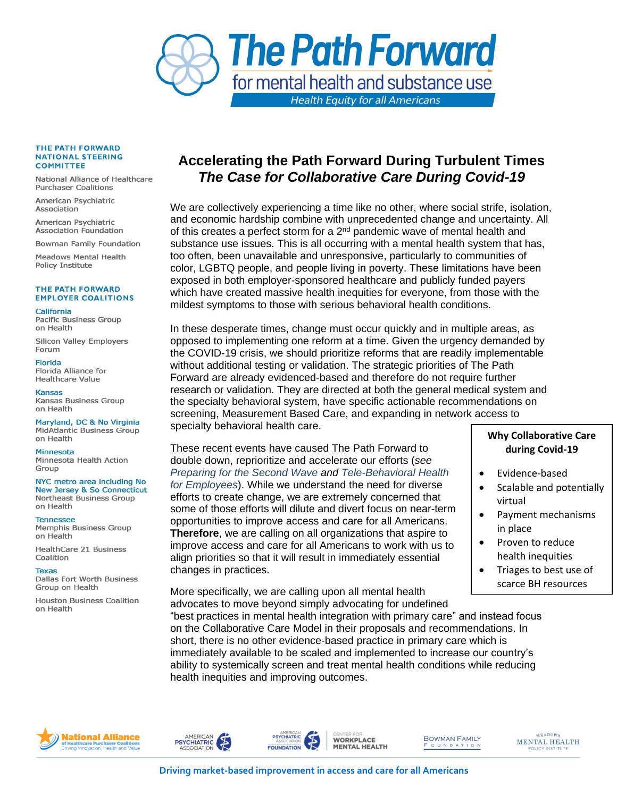

## THE PATH FORWARD **NATIONAL STEERING COMMITTEE**

National Alliance of Healthcare **Purchaser Coalitions** 

American Psychiatric Association

American Psychiatric **Association Foundation** 

Bowman Family Foundation

**Meadows Mental Health** Policy Institute

## THE PATH FORWARD **EMPLOYER COALITIONS**

California

**Pacific Business Group** on Health

**Silicon Valley Employers** Forum

**Florida** Florida Alliance for Healthcare Value

**Kansas** Kansas Business Group on Health

Maryland, DC & No Virginia **MidAtlantic Business Group** on Health

Minnesota Minnesota Health Action Group

NYC metro area including No **New Jersey & So Connecticut** Northeast Business Group on Health

**Tennessee** Memphis Business Group on Health

HealthCare 21 Business Coalition

**Texas** Dallas Fort Worth Business Group on Health

**Houston Business Coalition** on Health

## **Accelerating the Path Forward During Turbulent Times** *The Case for Collaborative Care During Covid-19*

We are collectively experiencing a time like no other, where social strife, isolation, and economic hardship combine with unprecedented change and uncertainty. All of this creates a perfect storm for a  $2^{nd}$  pandemic wave of mental health and substance use issues. This is all occurring with a mental health system that has, too often, been unavailable and unresponsive, particularly to communities of color, LGBTQ people, and people living in poverty. These limitations have been exposed in both employer-sponsored healthcare and publicly funded payers which have created massive health inequities for everyone, from those with the mildest symptoms to those with serious behavioral health conditions.

In these desperate times, change must occur quickly and in multiple areas, as opposed to implementing one reform at a time. Given the urgency demanded by the COVID-19 crisis, we should prioritize reforms that are readily implementable without additional testing or validation. The strategic priorities of The Path Forward are already evidenced-based and therefore do not require further research or validation. They are directed at both the general medical system and the specialty behavioral system, have specific actionable recommendations on screening, Measurement Based Care, and expanding in network access to specialty behavioral health care.

These recent events have caused The Path Forward to double down, reprioritize and accelerate our efforts (*see [Preparing for the Second Wave](https://higherlogicdownload.s3.amazonaws.com/NAHPC/3d988744-80e1-414b-8881-aa2c98621788/UploadedImages/FINAL__Preparing_for_the_Second_Wave_5_1_2020.pdf) and [Tele-Behavioral Health](https://higherlogicdownload.s3.amazonaws.com/NAHPC/3d988744-80e1-414b-8881-aa2c98621788/UploadedImages/FINAL__5_1_2020_Working_Tele_behavioral_Health_Brief_AP.pdf)  [for Employees](https://higherlogicdownload.s3.amazonaws.com/NAHPC/3d988744-80e1-414b-8881-aa2c98621788/UploadedImages/FINAL__5_1_2020_Working_Tele_behavioral_Health_Brief_AP.pdf)*). While we understand the need for diverse efforts to create change, we are extremely concerned that some of those efforts will dilute and divert focus on near-term opportunities to improve access and care for all Americans. **Therefore**, we are calling on all organizations that aspire to improve access and care for all Americans to work with us to align priorities so that it will result in immediately essential changes in practices.

## **Why Collaborative Care during Covid-19**

- Evidence-based
- Scalable and potentially virtual
- Payment mechanisms in place
- Proven to reduce health inequities
- Triages to best use of scarce BH resources

More specifically, we are calling upon all mental health advocates to move beyond simply advocating for undefined

"best practices in mental health integration with primary care" and instead focus on the Collaborative Care Model in their proposals and recommendations. In short, there is no other evidence-based practice in primary care which is immediately available to be scaled and implemented to increase our country's ability to systemically screen and treat mental health conditions while reducing health inequities and improving outcomes.



AMERICAN<br>PSYCHIATRIC



**WORKPLACE MENTAL HEALTH**  **BOWMAN FAMILY FOUNDATION** 

MEADOWS **MENTAL HEALTH** POLICY INSTITUT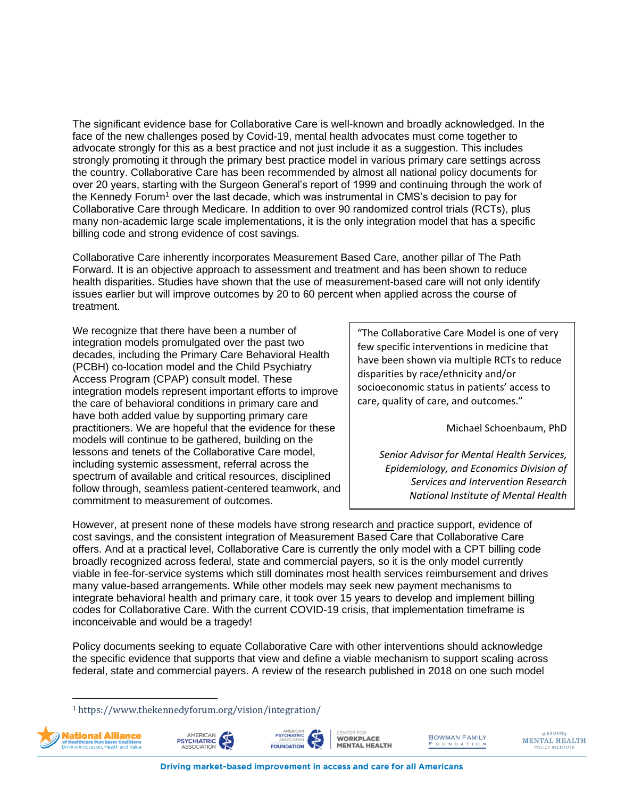The significant evidence base for Collaborative Care is well-known and broadly acknowledged. In the face of the new challenges posed by Covid-19, mental health advocates must come together to advocate strongly for this as a best practice and not just include it as a suggestion. This includes strongly promoting it through the primary best practice model in various primary care settings across the country. Collaborative Care has been recommended by almost all national policy documents for over 20 years, starting with the Surgeon General's report of 1999 and continuing through the work of the Kennedy Forum<sup>1</sup> over the last decade, which was instrumental in CMS's decision to pay for Collaborative Care through Medicare. In addition to over 90 randomized control trials (RCTs), plus many non-academic large scale implementations, it is the only integration model that has a specific billing code and strong evidence of cost savings.

Collaborative Care inherently incorporates Measurement Based Care, another pillar of The Path Forward. It is an objective approach to assessment and treatment and has been shown to reduce health disparities. Studies have shown that the use of measurement-based care will not only identify issues earlier but will improve outcomes by 20 to 60 percent when applied across the course of treatment.

We recognize that there have been a number of integration models promulgated over the past two decades, including the Primary Care Behavioral Health (PCBH) co-location model and the Child Psychiatry Access Program (CPAP) consult model. These integration models represent important efforts to improve the care of behavioral conditions in primary care and have both added value by supporting primary care practitioners. We are hopeful that the evidence for these models will continue to be gathered, building on the lessons and tenets of the Collaborative Care model, including systemic assessment, referral across the spectrum of available and critical resources, disciplined follow through, seamless patient-centered teamwork, and commitment to measurement of outcomes.

"The Collaborative Care Model is one of very few specific interventions in medicine that have been shown via multiple RCTs to reduce disparities by race/ethnicity and/or socioeconomic status in patients' access to care, quality of care, and outcomes."

Michael Schoenbaum, PhD

*Senior Advisor for Mental Health Services, Epidemiology, and Economics Division of Services and Intervention Research National Institute of Mental Health*

However, at present none of these models have strong research and practice support, evidence of cost savings, and the consistent integration of Measurement Based Care that Collaborative Care offers. And at a practical level, Collaborative Care is currently the only model with a CPT billing code broadly recognized across federal, state and commercial payers, so it is the only model currently viable in fee-for-service systems which still dominates most health services reimbursement and drives many value-based arrangements. While other models may seek new payment mechanisms to integrate behavioral health and primary care, it took over 15 years to develop and implement billing codes for Collaborative Care. With the current COVID-19 crisis, that implementation timeframe is inconceivable and would be a tragedy!

Policy documents seeking to equate Collaborative Care with other interventions should acknowledge the specific evidence that supports that view and define a viable mechanism to support scaling across federal, state and commercial payers. A review of the research published in 2018 on one such model

<sup>1</sup> <https://www.thekennedyforum.org/vision/integration/>









**BOWMAN FAMILY** OUNDATION